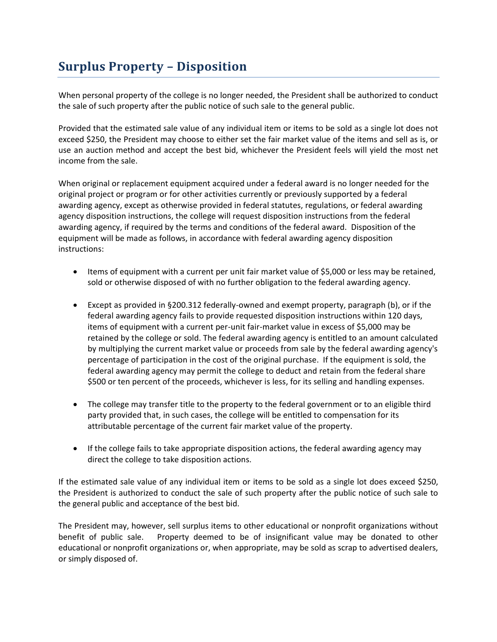## **Surplus Property – Disposition**

When personal property of the college is no longer needed, the President shall be authorized to conduct the sale of such property after the public notice of such sale to the general public.

Provided that the estimated sale value of any individual item or items to be sold as a single lot does not exceed \$250, the President may choose to either set the fair market value of the items and sell as is, or use an auction method and accept the best bid, whichever the President feels will yield the most net income from the sale.

When original or replacement equipment acquired under a federal award is no longer needed for the original project or program or for other activities currently or previously supported by a federal awarding agency, except as otherwise provided in federal statutes, regulations, or federal awarding agency disposition instructions, the college will request disposition instructions from the federal awarding agency, if required by the terms and conditions of the federal award. Disposition of the equipment will be made as follows, in accordance with federal awarding agency disposition instructions:

- Items of equipment with a current per unit fair market value of \$5,000 or less may be retained, sold or otherwise disposed of with no further obligation to the federal awarding agency.
- Except as provided in §200.312 federally-owned and exempt property, paragraph (b), or if the federal awarding agency fails to provide requested disposition instructions within 120 days, items of equipment with a current per-unit fair-market value in excess of \$5,000 may be retained by the college or sold. The federal awarding agency is entitled to an amount calculated by multiplying the current market value or proceeds from sale by the federal awarding agency's percentage of participation in the cost of the original purchase. If the equipment is sold, the federal awarding agency may permit the college to deduct and retain from the federal share \$500 or ten percent of the proceeds, whichever is less, for its selling and handling expenses.
- The college may transfer title to the property to the federal government or to an eligible third party provided that, in such cases, the college will be entitled to compensation for its attributable percentage of the current fair market value of the property.
- If the college fails to take appropriate disposition actions, the federal awarding agency may direct the college to take disposition actions.

If the estimated sale value of any individual item or items to be sold as a single lot does exceed \$250, the President is authorized to conduct the sale of such property after the public notice of such sale to the general public and acceptance of the best bid.

The President may, however, sell surplus items to other educational or nonprofit organizations without benefit of public sale. Property deemed to be of insignificant value may be donated to other educational or nonprofit organizations or, when appropriate, may be sold as scrap to advertised dealers, or simply disposed of.